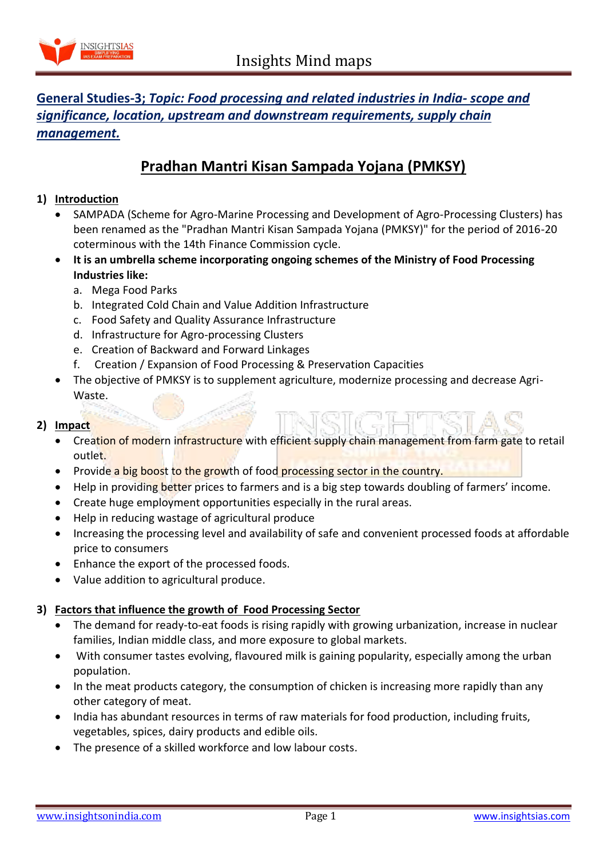

# **General Studies-3;** *Topic: Food processing and related industries in India- scope and significance, location, upstream and downstream requirements, supply chain management.*

# **Pradhan Mantri Kisan Sampada Yojana (PMKSY)**

### **1) Introduction**

- SAMPADA (Scheme for Agro-Marine Processing and Development of Agro-Processing Clusters) has been renamed as the "Pradhan Mantri Kisan Sampada Yojana (PMKSY)" for the period of 2016-20 coterminous with the 14th Finance Commission cycle.
- **It is an umbrella scheme incorporating ongoing schemes of the Ministry of Food Processing Industries like:**
	- a. Mega Food Parks
	- b. Integrated Cold Chain and Value Addition Infrastructure
	- c. Food Safety and Quality Assurance Infrastructure
	- d. Infrastructure for Agro-processing Clusters
	- e. Creation of Backward and Forward Linkages
	- f. Creation / Expansion of Food Processing & Preservation Capacities
- The objective of PMKSY is to supplement agriculture, modernize processing and decrease Agri-Waste.

### **2) Impact**

- Creation of modern infrastructure with efficient supply chain management from farm gate to retail outlet.
- Provide a big boost to the growth of food processing sector in the country.
- Help in providing better prices to farmers and is a big step towards doubling of farmers' income.
- Create huge employment opportunities especially in the rural areas.
- Help in reducing wastage of agricultural produce
- Increasing the processing level and availability of safe and convenient processed foods at affordable price to consumers
- Enhance the export of the processed foods.
- Value addition to agricultural produce.

#### **3) Factors that influence the growth of Food Processing Sector**

- The demand for ready-to-eat foods is rising rapidly with growing urbanization, increase in nuclear families, Indian middle class, and more exposure to global markets.
- With consumer tastes evolving, flavoured milk is gaining popularity, especially among the urban population.
- In the meat products category, the consumption of chicken is increasing more rapidly than any other category of meat.
- India has abundant resources in terms of raw materials for food production, including fruits, vegetables, spices, dairy products and edible oils.
- The presence of a skilled workforce and low labour costs.